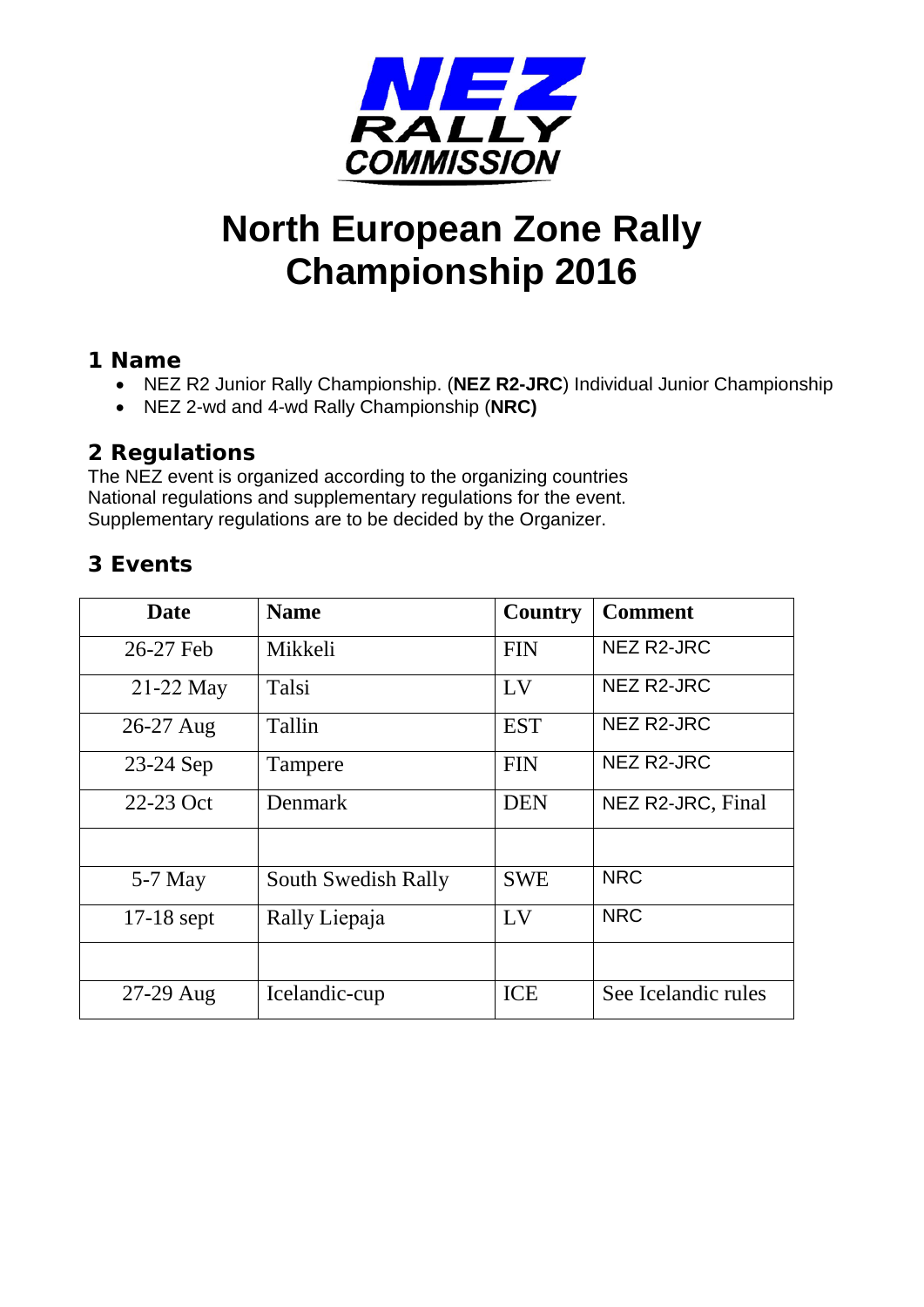

# **North European Zone Rally Championship 2016**

#### **1 Name**

- NEZ R2 Junior Rally Championship. (**NEZ R2-JRC**) Individual Junior Championship
- NEZ 2-wd and 4-wd Rally Championship (**NRC)**

#### **2 Regulations**

The NEZ event is organized according to the organizing countries National regulations and supplementary regulations for the event. Supplementary regulations are to be decided by the Organizer.

#### **3 Events**

| <b>Date</b>  | <b>Name</b>         | Country    | <b>Comment</b>      |
|--------------|---------------------|------------|---------------------|
| 26-27 Feb    | Mikkeli             | <b>FIN</b> | NEZ R2-JRC          |
| 21-22 May    | Talsi               | LV         | NEZ R2-JRC          |
| 26-27 Aug    | Tallin              | <b>EST</b> | NEZ R2-JRC          |
| 23-24 Sep    | Tampere             | <b>FIN</b> | NEZ R2-JRC          |
| 22-23 Oct    | Denmark             | <b>DEN</b> | NEZ R2-JRC, Final   |
|              |                     |            |                     |
| $5-7$ May    | South Swedish Rally | <b>SWE</b> | <b>NRC</b>          |
| $17-18$ sept | Rally Liepaja       | LV         | <b>NRC</b>          |
|              |                     |            |                     |
| 27-29 Aug    | Icelandic-cup       | <b>ICE</b> | See Icelandic rules |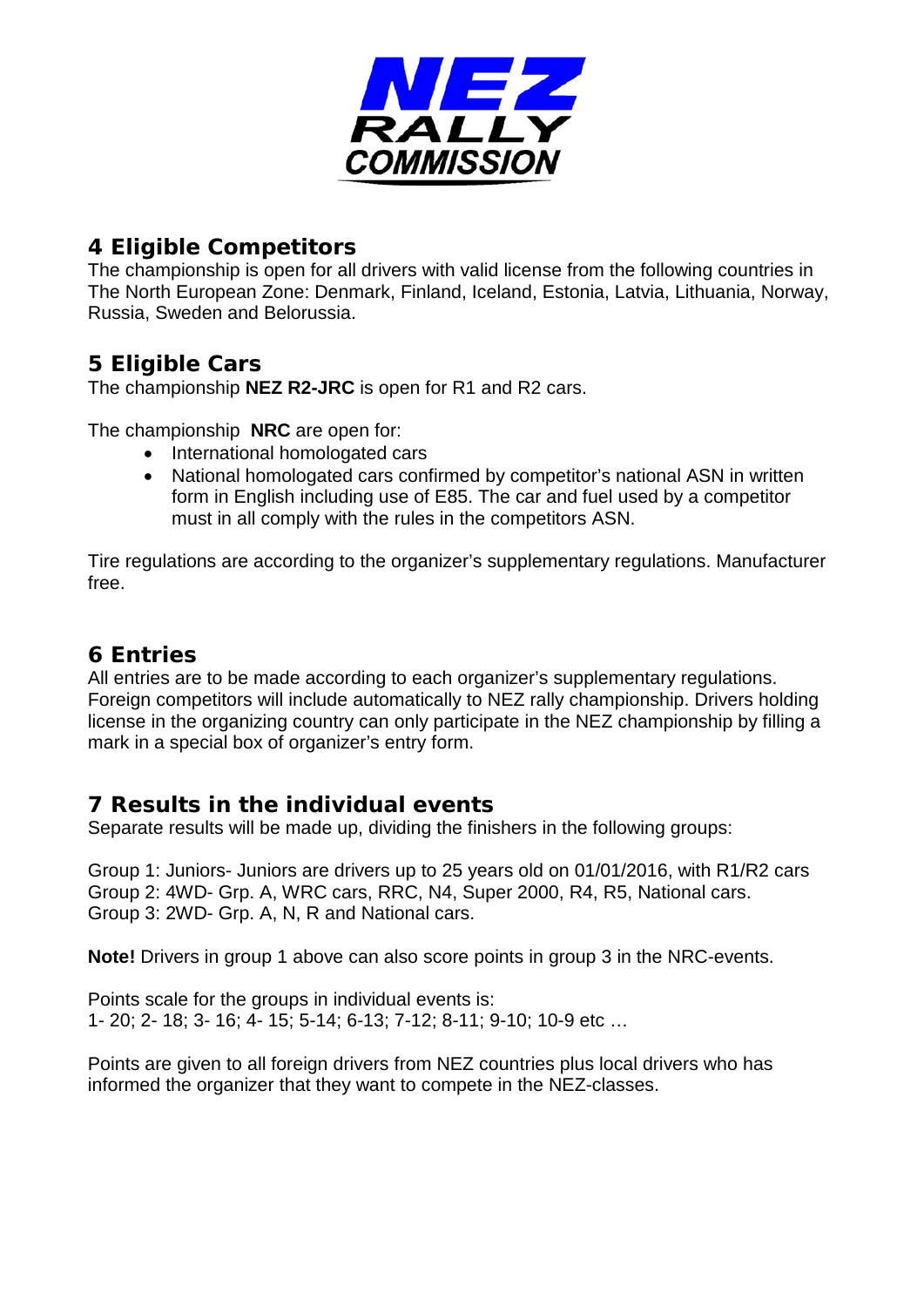

#### **4 Eligible Competitors**

The championship is open for all drivers with valid license from the following countries in The North European Zone: Denmark, Finland, Iceland, Estonia, Latvia, Lithuania, Norway, Russia, Sweden and Belorussia.

## **5 Eligible Cars**

The championship **NEZ R2-JRC** is open for R1 and R2 cars.

The championship **NRC** are open for:

- International homologated cars
- National homologated cars confirmed by competitor's national ASN in written form in English including use of E85. The car and fuel used by a competitor must in all comply with the rules in the competitors ASN.

Tire regulations are according to the organizer's supplementary regulations. Manufacturer free.

# **6 Entries**

All entries are to be made according to each organizer's supplementary regulations. Foreign competitors will include automatically to NEZ rally championship. Drivers holding license in the organizing country can only participate in the NEZ championship by filling a mark in a special box of organizer's entry form.

## **7 Results in the individual events**

Separate results will be made up, dividing the finishers in the following groups:

Group 1: Juniors- Juniors are drivers up to 25 years old on 01/01/2016, with R1/R2 cars Group 2: 4WD- Grp. A, WRC cars, RRC, N4, Super 2000, R4, R5, National cars. Group 3: 2WD- Grp. A, N, R and National cars.

**Note!** Drivers in group 1 above can also score points in group 3 in the NRC-events.

Points scale for the groups in individual events is: 1- 20; 2- 18; 3- 16; 4- 15; 5-14; 6-13; 7-12; 8-11; 9-10; 10-9 etc …

Points are given to all foreign drivers from NEZ countries plus local drivers who has informed the organizer that they want to compete in the NEZ-classes.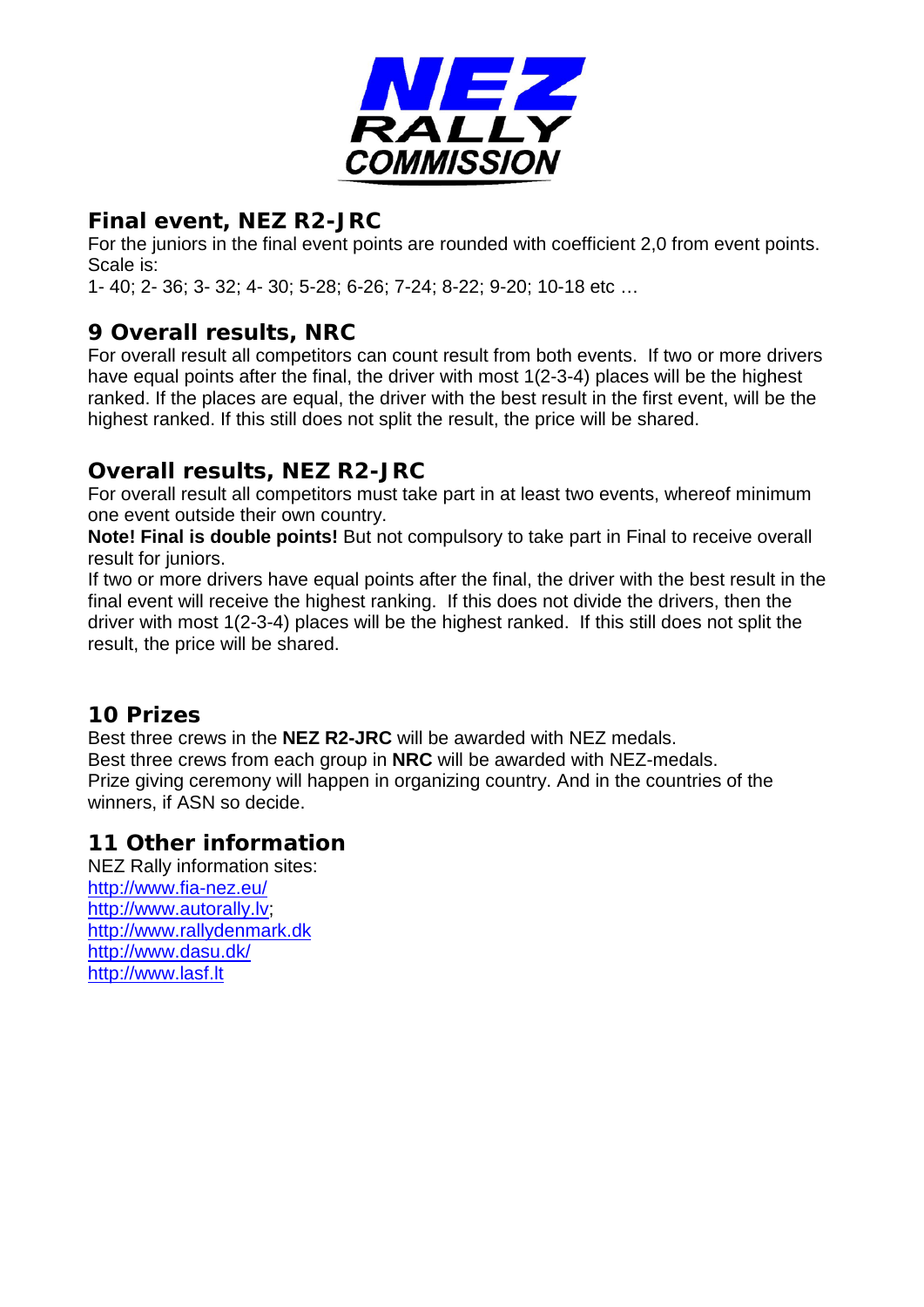

## **Final event, NEZ R2-JRC**

For the juniors in the final event points are rounded with coefficient 2,0 from event points. Scale is:

1- 40; 2- 36; 3- 32; 4- 30; 5-28; 6-26; 7-24; 8-22; 9-20; 10-18 etc …

# **9 Overall results, NRC**

For overall result all competitors can count result from both events. If two or more drivers have equal points after the final, the driver with most 1(2-3-4) places will be the highest ranked. If the places are equal, the driver with the best result in the first event, will be the highest ranked. If this still does not split the result, the price will be shared.

# **Overall results, NEZ R2-JRC**

For overall result all competitors must take part in at least two events, whereof minimum one event outside their own country.

**Note! Final is double points!** But not compulsory to take part in Final to receive overall result for juniors.

If two or more drivers have equal points after the final, the driver with the best result in the final event will receive the highest ranking. If this does not divide the drivers, then the driver with most 1(2-3-4) places will be the highest ranked. If this still does not split the result, the price will be shared.

## **10 Prizes**

Best three crews in the **NEZ R2-JRC** will be awarded with NEZ medals. Best three crews from each group in **NRC** will be awarded with NEZ-medals. Prize giving ceremony will happen in organizing country. And in the countries of the winners, if ASN so decide.

## **11 Other information**

NEZ Rally information sites: <http://www.fia-nez.eu/> [http://www.autorally.lv;](http://www.autorally.lv/) [http://www.rallydenmark.dk](http://www.rallydenmark.dk/index.php/da/) <http://www.dasu.dk/> [http://www.lasf.lt](http://www.lasf.lt/)